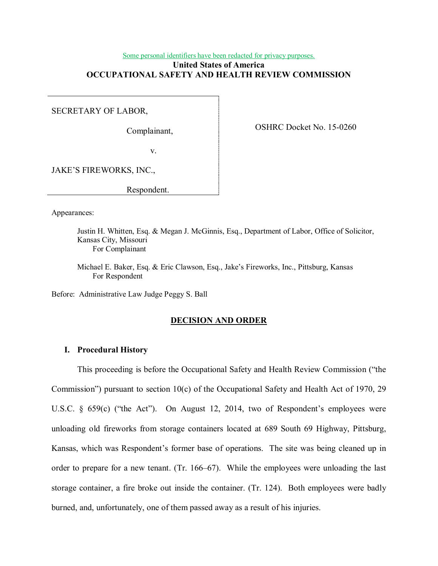#### Some personal identifiers have been redacted for privacy purposes.

## **United States of America OCCUPATIONAL SAFETY AND HEALTH REVIEW COMMISSION**

SECRETARY OF LABOR,

Complainant,

OSHRC Docket No. 15-0260

v.

JAKE'S FIREWORKS, INC.,

Respondent.

Appearances:

Justin H. Whitten, Esq. & Megan J. McGinnis, Esq., Department of Labor, Office of Solicitor, Kansas City, Missouri For Complainant

Michael E. Baker, Esq. & Eric Clawson, Esq., Jake's Fireworks, Inc., Pittsburg, Kansas For Respondent

Before: Administrative Law Judge Peggy S. Ball

## **DECISION AND ORDER**

### **I. Procedural History**

This proceeding is before the Occupational Safety and Health Review Commission ("the Commission") pursuant to section 10(c) of the Occupational Safety and Health Act of 1970, 29 U.S.C. § 659(c) ("the Act"). On August 12, 2014, two of Respondent's employees were unloading old fireworks from storage containers located at 689 South 69 Highway, Pittsburg, Kansas, which was Respondent's former base of operations. The site was being cleaned up in order to prepare for a new tenant. (Tr. 166–67). While the employees were unloading the last storage container, a fire broke out inside the container. (Tr. 124). Both employees were badly burned, and, unfortunately, one of them passed away as a result of his injuries.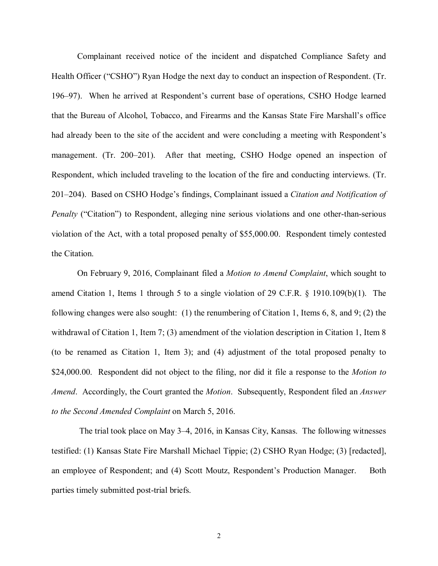Complainant received notice of the incident and dispatched Compliance Safety and Health Officer ("CSHO") Ryan Hodge the next day to conduct an inspection of Respondent. (Tr. 196–97). When he arrived at Respondent's current base of operations, CSHO Hodge learned that the Bureau of Alcohol, Tobacco, and Firearms and the Kansas State Fire Marshall's office had already been to the site of the accident and were concluding a meeting with Respondent's management. (Tr. 200–201). After that meeting, CSHO Hodge opened an inspection of Respondent, which included traveling to the location of the fire and conducting interviews. (Tr. 201–204). Based on CSHO Hodge's findings, Complainant issued a *Citation and Notification of Penalty* ("Citation") to Respondent, alleging nine serious violations and one other-than-serious violation of the Act, with a total proposed penalty of \$55,000.00. Respondent timely contested the Citation.

On February 9, 2016, Complainant filed a *Motion to Amend Complaint*, which sought to amend Citation 1, Items 1 through 5 to a single violation of 29 C.F.R. § 1910.109(b)(1). The following changes were also sought: (1) the renumbering of Citation 1, Items 6, 8, and 9; (2) the withdrawal of Citation 1, Item 7; (3) amendment of the violation description in Citation 1, Item 8 (to be renamed as Citation 1, Item 3); and (4) adjustment of the total proposed penalty to \$24,000.00. Respondent did not object to the filing, nor did it file a response to the *Motion to Amend*. Accordingly, the Court granted the *Motion*. Subsequently, Respondent filed an *Answer to the Second Amended Complaint* on March 5, 2016.

 The trial took place on May 3–4, 2016, in Kansas City, Kansas. The following witnesses testified: (1) Kansas State Fire Marshall Michael Tippie; (2) CSHO Ryan Hodge; (3) [redacted], an employee of Respondent; and (4) Scott Moutz, Respondent's Production Manager. Both parties timely submitted post-trial briefs.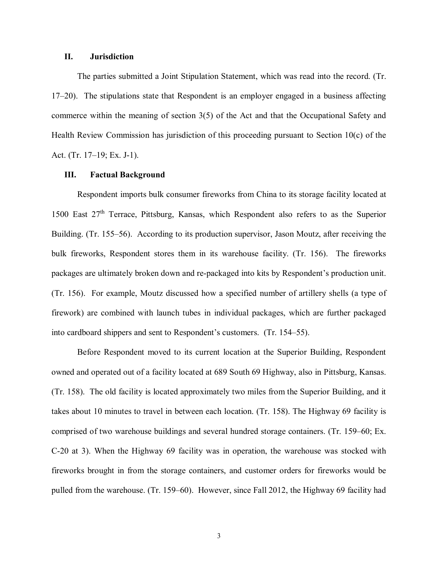### **II. Jurisdiction**

The parties submitted a Joint Stipulation Statement, which was read into the record. (Tr. 17–20). The stipulations state that Respondent is an employer engaged in a business affecting commerce within the meaning of section 3(5) of the Act and that the Occupational Safety and Health Review Commission has jurisdiction of this proceeding pursuant to Section 10(c) of the Act. (Tr. 17–19; Ex. J-1).

### **III. Factual Background**

Respondent imports bulk consumer fireworks from China to its storage facility located at 1500 East  $27<sup>th</sup>$  Terrace, Pittsburg, Kansas, which Respondent also refers to as the Superior Building. (Tr. 155–56). According to its production supervisor, Jason Moutz, after receiving the bulk fireworks, Respondent stores them in its warehouse facility. (Tr. 156). The fireworks packages are ultimately broken down and re-packaged into kits by Respondent's production unit. (Tr. 156). For example, Moutz discussed how a specified number of artillery shells (a type of firework) are combined with launch tubes in individual packages, which are further packaged into cardboard shippers and sent to Respondent's customers. (Tr. 154–55).

Before Respondent moved to its current location at the Superior Building, Respondent owned and operated out of a facility located at 689 South 69 Highway, also in Pittsburg, Kansas. (Tr. 158). The old facility is located approximately two miles from the Superior Building, and it takes about 10 minutes to travel in between each location. (Tr. 158). The Highway 69 facility is comprised of two warehouse buildings and several hundred storage containers. (Tr. 159–60; Ex. C-20 at 3). When the Highway 69 facility was in operation, the warehouse was stocked with fireworks brought in from the storage containers, and customer orders for fireworks would be pulled from the warehouse. (Tr. 159–60). However, since Fall 2012, the Highway 69 facility had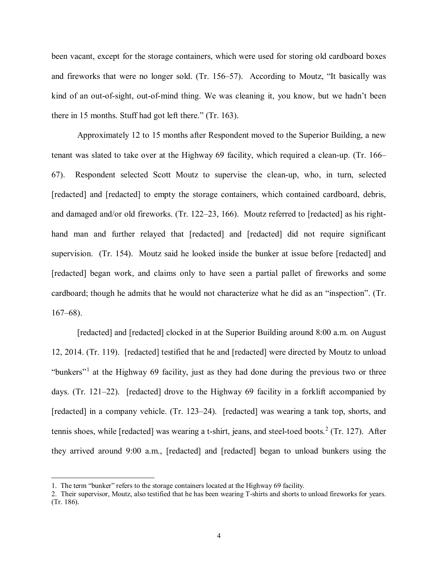been vacant, except for the storage containers, which were used for storing old cardboard boxes and fireworks that were no longer sold. (Tr. 156–57). According to Moutz, "It basically was kind of an out-of-sight, out-of-mind thing. We was cleaning it, you know, but we hadn't been there in 15 months. Stuff had got left there." (Tr. 163).

Approximately 12 to 15 months after Respondent moved to the Superior Building, a new tenant was slated to take over at the Highway 69 facility, which required a clean-up. (Tr. 166– 67). Respondent selected Scott Moutz to supervise the clean-up, who, in turn, selected [redacted] and [redacted] to empty the storage containers, which contained cardboard, debris, and damaged and/or old fireworks. (Tr. 122–23, 166). Moutz referred to [redacted] as his righthand man and further relayed that [redacted] and [redacted] did not require significant supervision. (Tr. 154). Moutz said he looked inside the bunker at issue before [redacted] and [redacted] began work, and claims only to have seen a partial pallet of fireworks and some cardboard; though he admits that he would not characterize what he did as an "inspection". (Tr.  $167–68$ ).

[redacted] and [redacted] clocked in at the Superior Building around 8:00 a.m. on August 12, 2014. (Tr. 119). [redacted] testified that he and [redacted] were directed by Moutz to unload "bunkers"<sup>[1](#page-3-0)</sup> at the Highway 69 facility, just as they had done during the previous two or three days. (Tr. 121–22). [redacted] drove to the Highway 69 facility in a forklift accompanied by [redacted] in a company vehicle. (Tr. 123–24). [redacted] was wearing a tank top, shorts, and tennis shoes, while [redacted] was wearing a t-shirt, jeans, and steel-toed boots. [2](#page-3-1) (Tr. 127). After they arrived around 9:00 a.m., [redacted] and [redacted] began to unload bunkers using the

<span id="page-3-0"></span><sup>1.</sup> The term "bunker" refers to the storage containers located at the Highway 69 facility.

<span id="page-3-1"></span><sup>2.</sup> Their supervisor, Moutz, also testified that he has been wearing T-shirts and shorts to unload fireworks for years. (Tr. 186).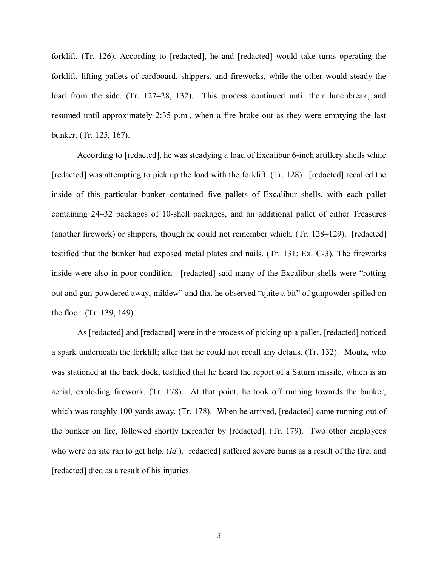forklift. (Tr. 126). According to [redacted], he and [redacted] would take turns operating the forklift, lifting pallets of cardboard, shippers, and fireworks, while the other would steady the load from the side. (Tr. 127–28, 132). This process continued until their lunchbreak, and resumed until approximately 2:35 p.m., when a fire broke out as they were emptying the last bunker. (Tr. 125, 167).

According to [redacted], he was steadying a load of Excalibur 6-inch artillery shells while [redacted] was attempting to pick up the load with the forklift. (Tr. 128). [redacted] recalled the inside of this particular bunker contained five pallets of Excalibur shells, with each pallet containing 24–32 packages of 10-shell packages, and an additional pallet of either Treasures (another firework) or shippers, though he could not remember which. (Tr. 128–129). [redacted] testified that the bunker had exposed metal plates and nails. (Tr. 131; Ex. C-3). The fireworks inside were also in poor condition—[redacted] said many of the Excalibur shells were "rotting out and gun-powdered away, mildew" and that he observed "quite a bit" of gunpowder spilled on the floor. (Tr. 139, 149).

As [redacted] and [redacted] were in the process of picking up a pallet, [redacted] noticed a spark underneath the forklift; after that he could not recall any details. (Tr. 132). Moutz, who was stationed at the back dock, testified that he heard the report of a Saturn missile, which is an aerial, exploding firework. (Tr. 178). At that point, he took off running towards the bunker, which was roughly 100 yards away. (Tr. 178). When he arrived, [redacted] came running out of the bunker on fire, followed shortly thereafter by [redacted]. (Tr. 179). Two other employees who were on site ran to get help. (*Id.*). [redacted] suffered severe burns as a result of the fire, and [redacted] died as a result of his injuries.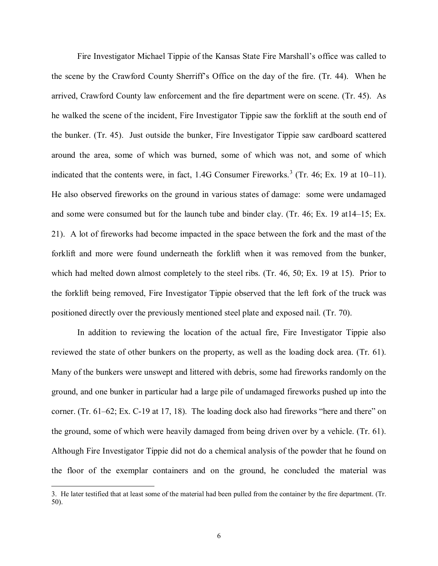Fire Investigator Michael Tippie of the Kansas State Fire Marshall's office was called to the scene by the Crawford County Sherriff's Office on the day of the fire. (Tr. 44). When he arrived, Crawford County law enforcement and the fire department were on scene. (Tr. 45). As he walked the scene of the incident, Fire Investigator Tippie saw the forklift at the south end of the bunker. (Tr. 45). Just outside the bunker, Fire Investigator Tippie saw cardboard scattered around the area, some of which was burned, some of which was not, and some of which indicated that the contents were, in fact, 1.4G Consumer Fireworks. [3](#page-5-0) (Tr. 46; Ex. 19 at 10–11). He also observed fireworks on the ground in various states of damage: some were undamaged and some were consumed but for the launch tube and binder clay. (Tr. 46; Ex. 19 at14–15; Ex. 21). A lot of fireworks had become impacted in the space between the fork and the mast of the forklift and more were found underneath the forklift when it was removed from the bunker, which had melted down almost completely to the steel ribs. (Tr. 46, 50; Ex. 19 at 15). Prior to the forklift being removed, Fire Investigator Tippie observed that the left fork of the truck was positioned directly over the previously mentioned steel plate and exposed nail. (Tr. 70).

In addition to reviewing the location of the actual fire, Fire Investigator Tippie also reviewed the state of other bunkers on the property, as well as the loading dock area. (Tr. 61). Many of the bunkers were unswept and littered with debris, some had fireworks randomly on the ground, and one bunker in particular had a large pile of undamaged fireworks pushed up into the corner. (Tr. 61–62; Ex. C-19 at 17, 18). The loading dock also had fireworks "here and there" on the ground, some of which were heavily damaged from being driven over by a vehicle. (Tr. 61). Although Fire Investigator Tippie did not do a chemical analysis of the powder that he found on the floor of the exemplar containers and on the ground, he concluded the material was

<span id="page-5-0"></span><sup>3.</sup> He later testified that at least some of the material had been pulled from the container by the fire department. (Tr. 50).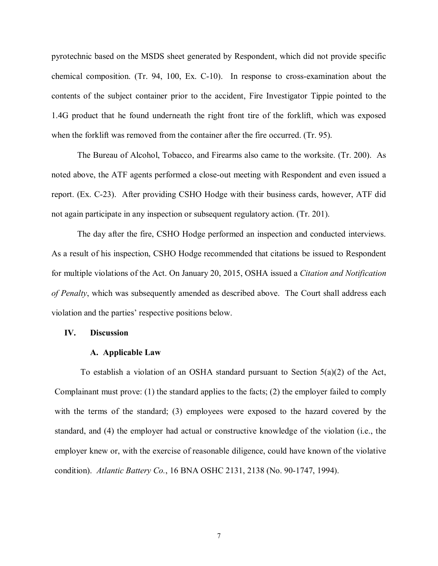pyrotechnic based on the MSDS sheet generated by Respondent, which did not provide specific chemical composition. (Tr. 94, 100, Ex. C-10). In response to cross-examination about the contents of the subject container prior to the accident, Fire Investigator Tippie pointed to the 1.4G product that he found underneath the right front tire of the forklift, which was exposed when the forklift was removed from the container after the fire occurred. (Tr. 95).

The Bureau of Alcohol, Tobacco, and Firearms also came to the worksite. (Tr. 200). As noted above, the ATF agents performed a close-out meeting with Respondent and even issued a report. (Ex. C-23). After providing CSHO Hodge with their business cards, however, ATF did not again participate in any inspection or subsequent regulatory action. (Tr. 201).

The day after the fire, CSHO Hodge performed an inspection and conducted interviews. As a result of his inspection, CSHO Hodge recommended that citations be issued to Respondent for multiple violations of the Act. On January 20, 2015, OSHA issued a *Citation and Notification of Penalty*, which was subsequently amended as described above. The Court shall address each violation and the parties' respective positions below.

### **IV. Discussion**

### **A. Applicable Law**

To establish a violation of an OSHA standard pursuant to Section  $5(a)(2)$  of the Act, Complainant must prove: (1) the standard applies to the facts; (2) the employer failed to comply with the terms of the standard; (3) employees were exposed to the hazard covered by the standard, and (4) the employer had actual or constructive knowledge of the violation (i.e., the employer knew or, with the exercise of reasonable diligence, could have known of the violative condition). *Atlantic Battery Co.*, 16 BNA OSHC 2131, 2138 (No. 90-1747, 1994).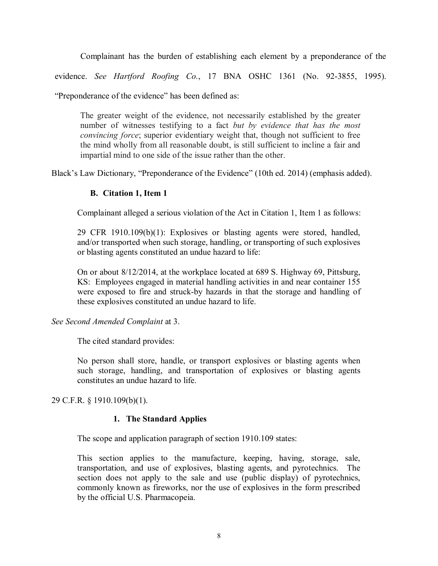Complainant has the burden of establishing each element by a preponderance of the

evidence. *See Hartford Roofing Co.*, 17 BNA OSHC 1361 (No. 92-3855, 1995).

"Preponderance of the evidence" has been defined as:

The greater weight of the evidence, not necessarily established by the greater number of witnesses testifying to a fact *but by evidence that has the most convincing force*; superior evidentiary weight that, though not sufficient to free the mind wholly from all reasonable doubt, is still sufficient to incline a fair and impartial mind to one side of the issue rather than the other.

Black's Law Dictionary, "Preponderance of the Evidence" (10th ed. 2014) (emphasis added).

## **B. Citation 1, Item 1**

Complainant alleged a serious violation of the Act in Citation 1, Item 1 as follows:

29 CFR 1910.109(b)(1): Explosives or blasting agents were stored, handled, and/or transported when such storage, handling, or transporting of such explosives or blasting agents constituted an undue hazard to life:

On or about 8/12/2014, at the workplace located at 689 S. Highway 69, Pittsburg, KS: Employees engaged in material handling activities in and near container 155 were exposed to fire and struck-by hazards in that the storage and handling of these explosives constituted an undue hazard to life.

*See Second Amended Complaint* at 3.

The cited standard provides:

No person shall store, handle, or transport explosives or blasting agents when such storage, handling, and transportation of explosives or blasting agents constitutes an undue hazard to life.

29 C.F.R. § 1910.109(b)(1).

## **1. The Standard Applies**

The scope and application paragraph of section 1910.109 states:

This section applies to the manufacture, keeping, having, storage, sale, transportation, and use of explosives, blasting agents, and pyrotechnics. The section does not apply to the sale and use (public display) of pyrotechnics, commonly known as fireworks, nor the use of explosives in the form prescribed by the official U.S. Pharmacopeia.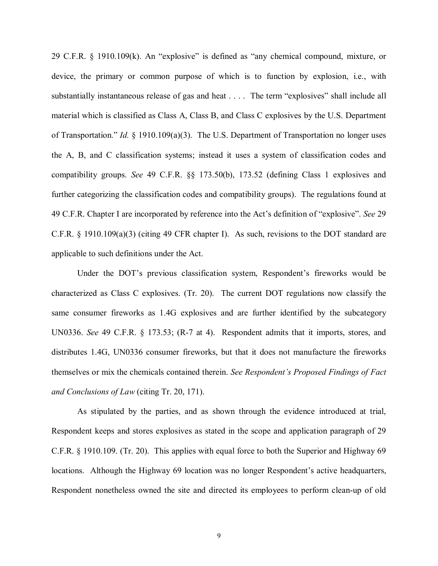29 C.F.R. § 1910.109(k). An "explosive" is defined as "any chemical compound, mixture, or device, the primary or common purpose of which is to function by explosion, i.e., with substantially instantaneous release of gas and heat . . . . The term "explosives" shall include all material which is classified as Class A, Class B, and Class C explosives by the U.S. Department of Transportation." *Id.* § 1910.109(a)(3). The U.S. Department of Transportation no longer uses the A, B, and C classification systems; instead it uses a system of classification codes and compatibility groups. *See* 49 C.F.R. §§ 173.50(b), 173.52 (defining Class 1 explosives and further categorizing the classification codes and compatibility groups). The regulations found at 49 C.F.R. Chapter I are incorporated by reference into the Act's definition of "explosive". *See* 29 C.F.R. § 1910.109(a)(3) (citing 49 CFR chapter I). As such, revisions to the DOT standard are applicable to such definitions under the Act.

Under the DOT's previous classification system, Respondent's fireworks would be characterized as Class C explosives. (Tr. 20). The current DOT regulations now classify the same consumer fireworks as 1.4G explosives and are further identified by the subcategory UN0336. *See* 49 C.F.R. § 173.53; (R-7 at 4). Respondent admits that it imports, stores, and distributes 1.4G, UN0336 consumer fireworks, but that it does not manufacture the fireworks themselves or mix the chemicals contained therein. *See Respondent's Proposed Findings of Fact and Conclusions of Law* (citing Tr. 20, 171).

As stipulated by the parties, and as shown through the evidence introduced at trial, Respondent keeps and stores explosives as stated in the scope and application paragraph of 29 C.F.R. § 1910.109. (Tr. 20). This applies with equal force to both the Superior and Highway 69 locations. Although the Highway 69 location was no longer Respondent's active headquarters, Respondent nonetheless owned the site and directed its employees to perform clean-up of old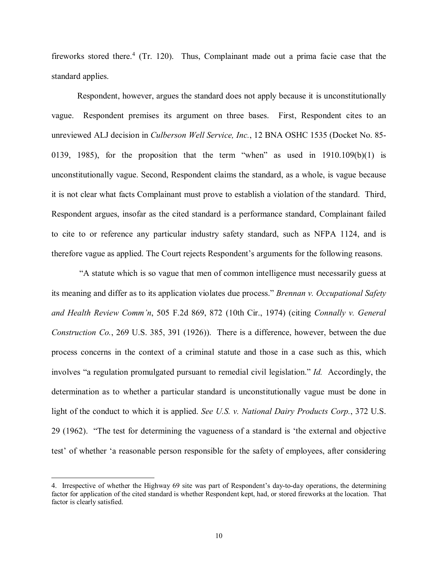fireworks stored there.<sup>[4](#page-9-0)</sup> (Tr. 120). Thus, Complainant made out a prima facie case that the standard applies.

Respondent, however, argues the standard does not apply because it is unconstitutionally vague. Respondent premises its argument on three bases. First, Respondent cites to an unreviewed ALJ decision in *Culberson Well Service, Inc.*, 12 BNA OSHC 1535 (Docket No. 85- 0139, 1985), for the proposition that the term "when" as used in  $1910.109(b)(1)$  is unconstitutionally vague. Second, Respondent claims the standard, as a whole, is vague because it is not clear what facts Complainant must prove to establish a violation of the standard. Third, Respondent argues, insofar as the cited standard is a performance standard, Complainant failed to cite to or reference any particular industry safety standard, such as NFPA 1124, and is therefore vague as applied. The Court rejects Respondent's arguments for the following reasons.

 "A statute which is so vague that men of common intelligence must necessarily guess at its meaning and differ as to its application violates due process." *Brennan v. Occupational Safety and Health Review Comm'n*, 505 F.2d 869, 872 (10th Cir., 1974) (citing *Connally v. General Construction Co.*, 269 U.S. 385, 391 (1926)). There is a difference, however, between the due process concerns in the context of a criminal statute and those in a case such as this, which involves "a regulation promulgated pursuant to remedial civil legislation." *Id.* Accordingly, the determination as to whether a particular standard is unconstitutionally vague must be done in light of the conduct to which it is applied. *See U.S. v. National Dairy Products Corp.*, 372 U.S. 29 (1962). "The test for determining the vagueness of a standard is 'the external and objective test' of whether 'a reasonable person responsible for the safety of employees, after considering

<span id="page-9-0"></span><sup>4.</sup> Irrespective of whether the Highway 69 site was part of Respondent's day-to-day operations, the determining factor for application of the cited standard is whether Respondent kept, had, or stored fireworks at the location. That factor is clearly satisfied.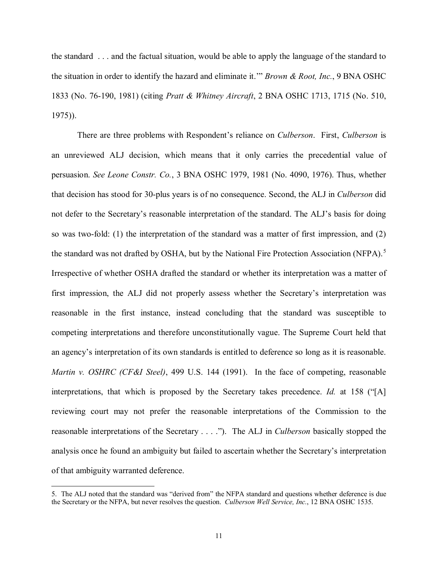the standard . . . and the factual situation, would be able to apply the language of the standard to the situation in order to identify the hazard and eliminate it.'" *Brown & Root, Inc.*, 9 BNA OSHC 1833 (No. 76-190, 1981) (citing *Pratt & Whitney Aircraft*, 2 BNA OSHC 1713, 1715 (No. 510, 1975)).

There are three problems with Respondent's reliance on *Culberson*. First, *Culberson* is an unreviewed ALJ decision, which means that it only carries the precedential value of persuasion. *See Leone Constr. Co.*, 3 BNA OSHC 1979, 1981 (No. 4090, 1976). Thus, whether that decision has stood for 30-plus years is of no consequence. Second, the ALJ in *Culberson* did not defer to the Secretary's reasonable interpretation of the standard. The ALJ's basis for doing so was two-fold: (1) the interpretation of the standard was a matter of first impression, and (2) the standard was not drafted by OSHA, but by the National Fire Protection Association (NFPA).<sup>[5](#page-10-0)</sup> Irrespective of whether OSHA drafted the standard or whether its interpretation was a matter of first impression, the ALJ did not properly assess whether the Secretary's interpretation was reasonable in the first instance, instead concluding that the standard was susceptible to competing interpretations and therefore unconstitutionally vague. The Supreme Court held that an agency's interpretation of its own standards is entitled to deference so long as it is reasonable. *Martin v. OSHRC (CF&I Steel)*, 499 U.S. 144 (1991). In the face of competing, reasonable interpretations, that which is proposed by the Secretary takes precedence. *Id.* at 158 ("[A] reviewing court may not prefer the reasonable interpretations of the Commission to the reasonable interpretations of the Secretary . . . ."). The ALJ in *Culberson* basically stopped the analysis once he found an ambiguity but failed to ascertain whether the Secretary's interpretation of that ambiguity warranted deference.

<span id="page-10-0"></span><sup>5.</sup> The ALJ noted that the standard was "derived from" the NFPA standard and questions whether deference is due the Secretary or the NFPA, but never resolves the question. *Culberson Well Service, Inc.*, 12 BNA OSHC 1535.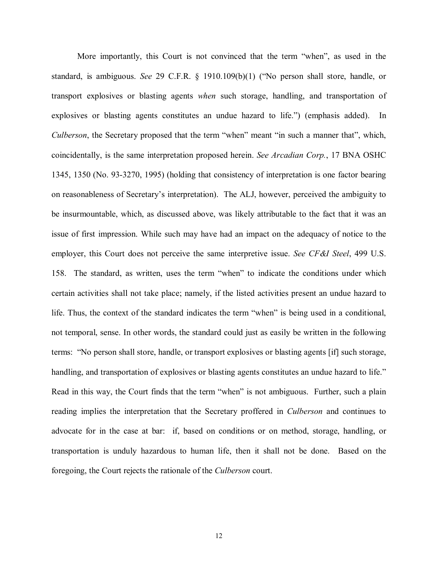More importantly, this Court is not convinced that the term "when", as used in the standard, is ambiguous. *See* 29 C.F.R. § 1910.109(b)(1) ("No person shall store, handle, or transport explosives or blasting agents *when* such storage, handling, and transportation of explosives or blasting agents constitutes an undue hazard to life.") (emphasis added). In *Culberson*, the Secretary proposed that the term "when" meant "in such a manner that", which, coincidentally, is the same interpretation proposed herein. *See Arcadian Corp.*, 17 BNA OSHC 1345, 1350 (No. 93-3270, 1995) (holding that consistency of interpretation is one factor bearing on reasonableness of Secretary's interpretation). The ALJ, however, perceived the ambiguity to be insurmountable, which, as discussed above, was likely attributable to the fact that it was an issue of first impression. While such may have had an impact on the adequacy of notice to the employer, this Court does not perceive the same interpretive issue. *See CF&I Steel*, 499 U.S. 158. The standard, as written, uses the term "when" to indicate the conditions under which certain activities shall not take place; namely, if the listed activities present an undue hazard to life. Thus, the context of the standard indicates the term "when" is being used in a conditional, not temporal, sense. In other words, the standard could just as easily be written in the following terms: "No person shall store, handle, or transport explosives or blasting agents [if] such storage, handling, and transportation of explosives or blasting agents constitutes an undue hazard to life." Read in this way, the Court finds that the term "when" is not ambiguous. Further, such a plain reading implies the interpretation that the Secretary proffered in *Culberson* and continues to advocate for in the case at bar: if, based on conditions or on method, storage, handling, or transportation is unduly hazardous to human life, then it shall not be done. Based on the foregoing, the Court rejects the rationale of the *Culberson* court.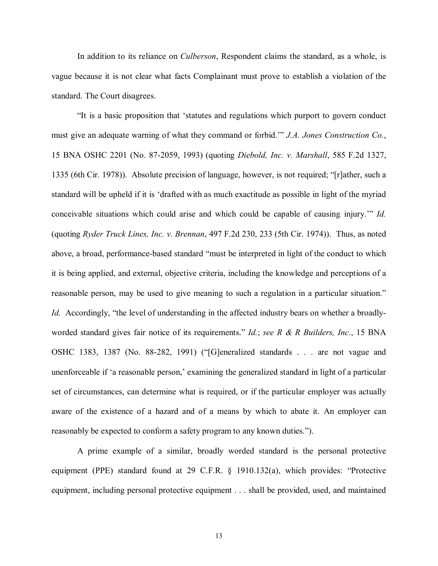In addition to its reliance on *Culberson*, Respondent claims the standard, as a whole, is vague because it is not clear what facts Complainant must prove to establish a violation of the standard. The Court disagrees.

"It is a basic proposition that 'statutes and regulations which purport to govern conduct must give an adequate warning of what they command or forbid.'" *J.A. Jones Construction Co.*, 15 BNA OSHC 2201 (No. 87-2059, 1993) (quoting *Diebold, Inc. v. Marshall*, 585 F.2d 1327, 1335 (6th Cir. 1978)). Absolute precision of language, however, is not required; "[r]ather, such a standard will be upheld if it is 'drafted with as much exactitude as possible in light of the myriad conceivable situations which could arise and which could be capable of causing injury.'" *Id.* (quoting *Ryder Truck Lines, Inc. v. Brennan*, 497 F.2d 230, 233 (5th Cir. 1974)). Thus, as noted above, a broad, performance-based standard "must be interpreted in light of the conduct to which it is being applied, and external, objective criteria, including the knowledge and perceptions of a reasonable person, may be used to give meaning to such a regulation in a particular situation." *Id.* Accordingly, "the level of understanding in the affected industry bears on whether a broadlyworded standard gives fair notice of its requirements." *Id.*; *see R & R Builders, Inc.*, 15 BNA OSHC 1383, 1387 (No. 88-282, 1991) ("[G]eneralized standards . . . are not vague and unenforceable if 'a reasonable person,' examining the generalized standard in light of a particular set of circumstances, can determine what is required, or if the particular employer was actually aware of the existence of a hazard and of a means by which to abate it. An employer can reasonably be expected to conform a safety program to any known duties.").

A prime example of a similar, broadly worded standard is the personal protective equipment (PPE) standard found at 29 C.F.R. § 1910.132(a), which provides: "Protective equipment, including personal protective equipment . . . shall be provided, used, and maintained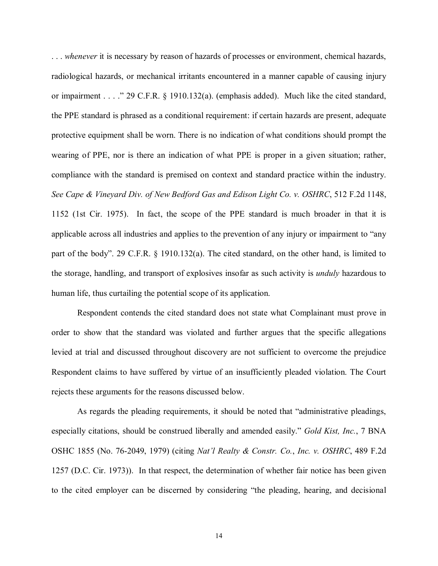. . . *whenever* it is necessary by reason of hazards of processes or environment, chemical hazards, radiological hazards, or mechanical irritants encountered in a manner capable of causing injury or impairment . . . ." 29 C.F.R. § 1910.132(a). (emphasis added). Much like the cited standard, the PPE standard is phrased as a conditional requirement: if certain hazards are present, adequate protective equipment shall be worn. There is no indication of what conditions should prompt the wearing of PPE, nor is there an indication of what PPE is proper in a given situation; rather, compliance with the standard is premised on context and standard practice within the industry. *See Cape & Vineyard Div. of New Bedford Gas and Edison Light Co. v. OSHRC*, 512 F.2d 1148, 1152 (1st Cir. 1975). In fact, the scope of the PPE standard is much broader in that it is applicable across all industries and applies to the prevention of any injury or impairment to "any part of the body". 29 C.F.R. § 1910.132(a). The cited standard, on the other hand, is limited to the storage, handling, and transport of explosives insofar as such activity is *unduly* hazardous to human life, thus curtailing the potential scope of its application.

Respondent contends the cited standard does not state what Complainant must prove in order to show that the standard was violated and further argues that the specific allegations levied at trial and discussed throughout discovery are not sufficient to overcome the prejudice Respondent claims to have suffered by virtue of an insufficiently pleaded violation. The Court rejects these arguments for the reasons discussed below.

 As regards the pleading requirements, it should be noted that "administrative pleadings, especially citations, should be construed liberally and amended easily." *Gold Kist, Inc.*, 7 BNA OSHC 1855 (No. 76-2049, 1979) (citing *Nat'l Realty & Constr. Co.*, *Inc. v. OSHRC*, 489 F.2d 1257 (D.C. Cir. 1973)). In that respect, the determination of whether fair notice has been given to the cited employer can be discerned by considering "the pleading, hearing, and decisional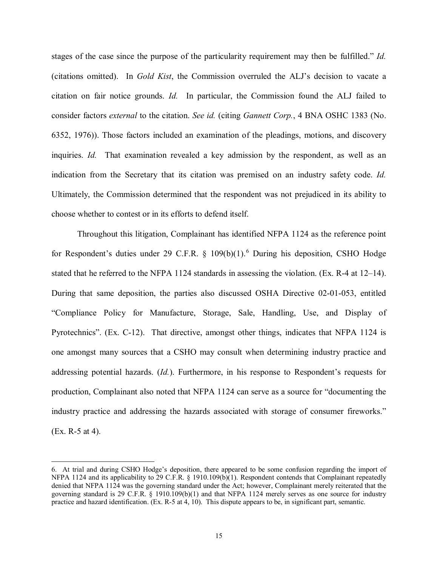stages of the case since the purpose of the particularity requirement may then be fulfilled." *Id.* (citations omitted). In *Gold Kist*, the Commission overruled the ALJ's decision to vacate a citation on fair notice grounds. *Id.* In particular, the Commission found the ALJ failed to consider factors *external* to the citation. *See id.* (citing *Gannett Corp.*, 4 BNA OSHC 1383 (No. 6352, 1976)). Those factors included an examination of the pleadings, motions, and discovery inquiries. *Id.* That examination revealed a key admission by the respondent, as well as an indication from the Secretary that its citation was premised on an industry safety code. *Id.* Ultimately, the Commission determined that the respondent was not prejudiced in its ability to choose whether to contest or in its efforts to defend itself.

Throughout this litigation, Complainant has identified NFPA 1124 as the reference point for Respondent's duties under 29 C.F.R. § 109(b)(1). [6](#page-14-0) During his deposition, CSHO Hodge stated that he referred to the NFPA 1124 standards in assessing the violation. (Ex. R-4 at 12–14). During that same deposition, the parties also discussed OSHA Directive 02-01-053, entitled "Compliance Policy for Manufacture, Storage, Sale, Handling, Use, and Display of Pyrotechnics". (Ex. C-12). That directive, amongst other things, indicates that NFPA 1124 is one amongst many sources that a CSHO may consult when determining industry practice and addressing potential hazards. (*Id.*). Furthermore, in his response to Respondent's requests for production, Complainant also noted that NFPA 1124 can serve as a source for "documenting the industry practice and addressing the hazards associated with storage of consumer fireworks." (Ex. R-5 at 4).

<span id="page-14-0"></span><sup>6.</sup> At trial and during CSHO Hodge's deposition, there appeared to be some confusion regarding the import of NFPA 1124 and its applicability to 29 C.F.R. § 1910.109(b)(1). Respondent contends that Complainant repeatedly denied that NFPA 1124 was the governing standard under the Act; however, Complainant merely reiterated that the governing standard is 29 C.F.R. § 1910.109(b)(1) and that NFPA 1124 merely serves as one source for industry practice and hazard identification. (Ex. R-5 at 4, 10). This dispute appears to be, in significant part, semantic.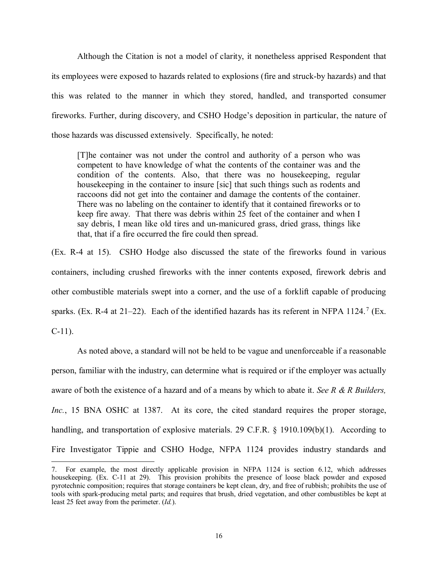Although the Citation is not a model of clarity, it nonetheless apprised Respondent that its employees were exposed to hazards related to explosions (fire and struck-by hazards) and that this was related to the manner in which they stored, handled, and transported consumer fireworks. Further, during discovery, and CSHO Hodge's deposition in particular, the nature of those hazards was discussed extensively. Specifically, he noted:

[T]he container was not under the control and authority of a person who was competent to have knowledge of what the contents of the container was and the condition of the contents. Also, that there was no housekeeping, regular housekeeping in the container to insure [sic] that such things such as rodents and raccoons did not get into the container and damage the contents of the container. There was no labeling on the container to identify that it contained fireworks or to keep fire away. That there was debris within 25 feet of the container and when I say debris, I mean like old tires and un-manicured grass, dried grass, things like that, that if a fire occurred the fire could then spread.

(Ex. R-4 at 15). CSHO Hodge also discussed the state of the fireworks found in various containers, including crushed fireworks with the inner contents exposed, firework debris and other combustible materials swept into a corner, and the use of a forklift capable of producing sparks. (Ex. R-4 at 21–22). Each of the identified hazards has its referent in NFPA 1124.<sup>[7](#page-15-0)</sup> (Ex.  $C-11$ ).

As noted above, a standard will not be held to be vague and unenforceable if a reasonable person, familiar with the industry, can determine what is required or if the employer was actually aware of both the existence of a hazard and of a means by which to abate it. *See R & R Builders, Inc.*, 15 BNA OSHC at 1387. At its core, the cited standard requires the proper storage, handling, and transportation of explosive materials. 29 C.F.R. § 1910.109(b)(1). According to Fire Investigator Tippie and CSHO Hodge, NFPA 1124 provides industry standards and

<span id="page-15-0"></span><sup>7.</sup> For example, the most directly applicable provision in NFPA 1124 is section 6.12, which addresses housekeeping. (Ex. C-11 at 29). This provision prohibits the presence of loose black powder and exposed pyrotechnic composition; requires that storage containers be kept clean, dry, and free of rubbish; prohibits the use of tools with spark-producing metal parts; and requires that brush, dried vegetation, and other combustibles be kept at least 25 feet away from the perimeter. (*Id.*).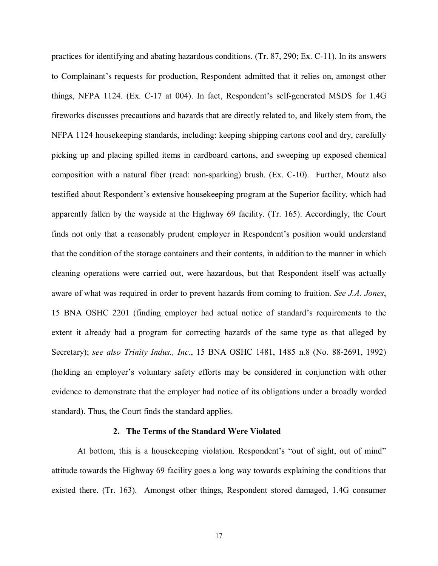practices for identifying and abating hazardous conditions. (Tr. 87, 290; Ex. C-11). In its answers to Complainant's requests for production, Respondent admitted that it relies on, amongst other things, NFPA 1124. (Ex. C-17 at 004). In fact, Respondent's self-generated MSDS for 1.4G fireworks discusses precautions and hazards that are directly related to, and likely stem from, the NFPA 1124 housekeeping standards, including: keeping shipping cartons cool and dry, carefully picking up and placing spilled items in cardboard cartons, and sweeping up exposed chemical composition with a natural fiber (read: non-sparking) brush. (Ex. C-10). Further, Moutz also testified about Respondent's extensive housekeeping program at the Superior facility, which had apparently fallen by the wayside at the Highway 69 facility. (Tr. 165). Accordingly, the Court finds not only that a reasonably prudent employer in Respondent's position would understand that the condition of the storage containers and their contents, in addition to the manner in which cleaning operations were carried out, were hazardous, but that Respondent itself was actually aware of what was required in order to prevent hazards from coming to fruition. *See J.A. Jones*, 15 BNA OSHC 2201 (finding employer had actual notice of standard's requirements to the extent it already had a program for correcting hazards of the same type as that alleged by Secretary); *see also Trinity Indus., Inc.*, 15 BNA OSHC 1481, 1485 n.8 (No. 88-2691, 1992) (holding an employer's voluntary safety efforts may be considered in conjunction with other evidence to demonstrate that the employer had notice of its obligations under a broadly worded standard). Thus, the Court finds the standard applies.

### **2. The Terms of the Standard Were Violated**

At bottom, this is a housekeeping violation. Respondent's "out of sight, out of mind" attitude towards the Highway 69 facility goes a long way towards explaining the conditions that existed there. (Tr. 163). Amongst other things, Respondent stored damaged, 1.4G consumer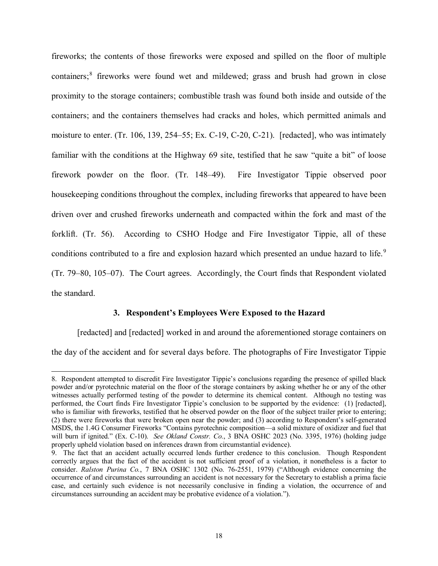fireworks; the contents of those fireworks were exposed and spilled on the floor of multiple containers;<sup>[8](#page-17-0)</sup> fireworks were found wet and mildewed; grass and brush had grown in close proximity to the storage containers; combustible trash was found both inside and outside of the containers; and the containers themselves had cracks and holes, which permitted animals and moisture to enter. (Tr. 106, 139, 254–55; Ex. C-19, C-20, C-21). [redacted], who was intimately familiar with the conditions at the Highway 69 site, testified that he saw "quite a bit" of loose firework powder on the floor. (Tr. 148–49). Fire Investigator Tippie observed poor housekeeping conditions throughout the complex, including fireworks that appeared to have been driven over and crushed fireworks underneath and compacted within the fork and mast of the forklift. (Tr. 56). According to CSHO Hodge and Fire Investigator Tippie, all of these conditions contributed to a fire and explosion hazard which presented an undue hazard to life.<sup>[9](#page-17-1)</sup> (Tr. 79–80, 105–07). The Court agrees. Accordingly, the Court finds that Respondent violated the standard.

## **3. Respondent's Employees Were Exposed to the Hazard**

[redacted] and [redacted] worked in and around the aforementioned storage containers on the day of the accident and for several days before. The photographs of Fire Investigator Tippie

<span id="page-17-0"></span> $\overline{a}$ 8. Respondent attempted to discredit Fire Investigator Tippie's conclusions regarding the presence of spilled black powder and/or pyrotechnic material on the floor of the storage containers by asking whether he or any of the other witnesses actually performed testing of the powder to determine its chemical content. Although no testing was performed, the Court finds Fire Investigator Tippie's conclusion to be supported by the evidence: (1) [redacted], who is familiar with fireworks, testified that he observed powder on the floor of the subject trailer prior to entering; (2) there were fireworks that were broken open near the powder; and (3) according to Respondent's self-generated MSDS, the 1.4G Consumer Fireworks "Contains pyrotechnic composition—a solid mixture of oxidizer and fuel that will burn if ignited." (Ex. C-10). *See Okland Constr. Co.*, 3 BNA OSHC 2023 (No. 3395, 1976) (holding judge properly upheld violation based on inferences drawn from circumstantial evidence).

<span id="page-17-1"></span><sup>9.</sup> The fact that an accident actually occurred lends further credence to this conclusion. Though Respondent correctly argues that the fact of the accident is not sufficient proof of a violation, it nonetheless is a factor to consider. *Ralston Purina Co.*, 7 BNA OSHC 1302 (No. 76-2551, 1979) ("Although evidence concerning the occurrence of and circumstances surrounding an accident is not necessary for the Secretary to establish a prima facie case, and certainly such evidence is not necessarily conclusive in finding a violation, the occurrence of and circumstances surrounding an accident may be probative evidence of a violation.").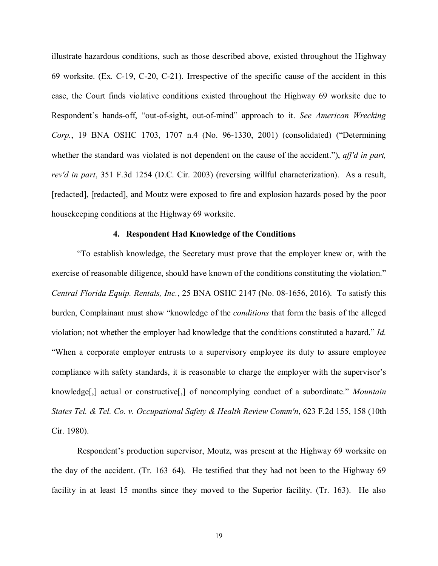illustrate hazardous conditions, such as those described above, existed throughout the Highway 69 worksite. (Ex. C-19, C-20, C-21). Irrespective of the specific cause of the accident in this case, the Court finds violative conditions existed throughout the Highway 69 worksite due to Respondent's hands-off, "out-of-sight, out-of-mind" approach to it. *See American Wrecking Corp.*, 19 BNA OSHC 1703, 1707 n.4 (No. 96-1330, 2001) (consolidated) ("Determining whether the standard was violated is not dependent on the cause of the accident."), *aff'd in part, rev'd in part*, 351 F.3d 1254 (D.C. Cir. 2003) (reversing willful characterization). As a result, [redacted], [redacted], and Moutz were exposed to fire and explosion hazards posed by the poor housekeeping conditions at the Highway 69 worksite.

### **4. Respondent Had Knowledge of the Conditions**

"To establish knowledge, the Secretary must prove that the employer knew or, with the exercise of reasonable diligence, should have known of the conditions constituting the violation." *Central Florida Equip. Rentals, Inc.*, 25 BNA OSHC 2147 (No. 08-1656, 2016). To satisfy this burden, Complainant must show "knowledge of the *conditions* that form the basis of the alleged violation; not whether the employer had knowledge that the conditions constituted a hazard." *Id.* "When a corporate employer entrusts to a supervisory employee its duty to assure employee compliance with safety standards, it is reasonable to charge the employer with the supervisor's knowledge[,] actual or constructive[,] of noncomplying conduct of a subordinate." *Mountain States Tel. & Tel. Co. v. Occupational Safety & Health Review Comm'n*, 623 F.2d 155, 158 (10th Cir. 1980).

Respondent's production supervisor, Moutz, was present at the Highway 69 worksite on the day of the accident. (Tr. 163–64). He testified that they had not been to the Highway 69 facility in at least 15 months since they moved to the Superior facility. (Tr. 163). He also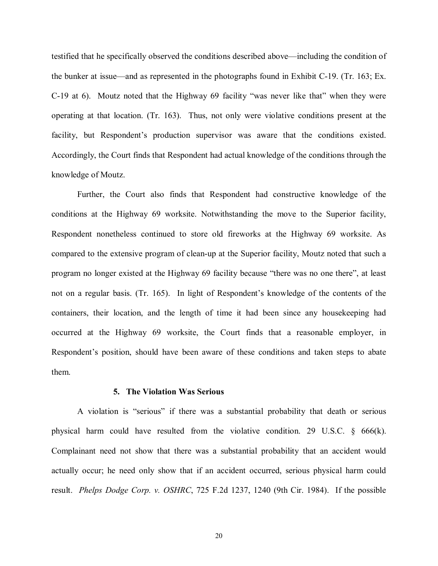testified that he specifically observed the conditions described above—including the condition of the bunker at issue—and as represented in the photographs found in Exhibit C-19. (Tr. 163; Ex. C-19 at 6). Moutz noted that the Highway 69 facility "was never like that" when they were operating at that location. (Tr. 163). Thus, not only were violative conditions present at the facility, but Respondent's production supervisor was aware that the conditions existed. Accordingly, the Court finds that Respondent had actual knowledge of the conditions through the knowledge of Moutz.

Further, the Court also finds that Respondent had constructive knowledge of the conditions at the Highway 69 worksite. Notwithstanding the move to the Superior facility, Respondent nonetheless continued to store old fireworks at the Highway 69 worksite. As compared to the extensive program of clean-up at the Superior facility, Moutz noted that such a program no longer existed at the Highway 69 facility because "there was no one there", at least not on a regular basis. (Tr. 165). In light of Respondent's knowledge of the contents of the containers, their location, and the length of time it had been since any housekeeping had occurred at the Highway 69 worksite, the Court finds that a reasonable employer, in Respondent's position, should have been aware of these conditions and taken steps to abate them.

### **5. The Violation Was Serious**

A violation is "serious" if there was a substantial probability that death or serious physical harm could have resulted from the violative condition. 29 U.S.C.  $\S$  666(k). Complainant need not show that there was a substantial probability that an accident would actually occur; he need only show that if an accident occurred, serious physical harm could result. *Phelps Dodge Corp. v. OSHRC*, 725 F.2d 1237, 1240 (9th Cir. 1984). If the possible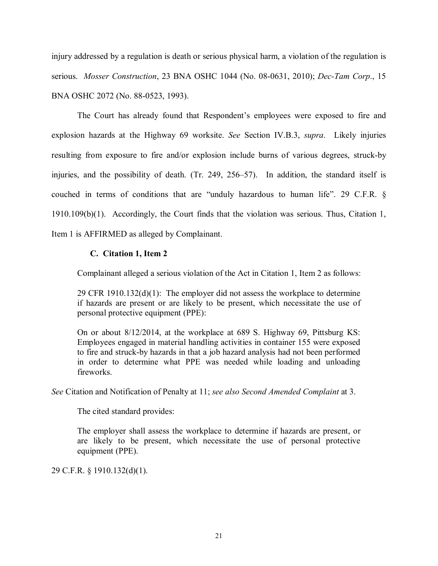injury addressed by a regulation is death or serious physical harm, a violation of the regulation is serious. *Mosser Construction*, 23 BNA OSHC 1044 (No. 08-0631, 2010); *Dec-Tam Corp*., 15 BNA OSHC 2072 (No. 88-0523, 1993).

The Court has already found that Respondent's employees were exposed to fire and explosion hazards at the Highway 69 worksite. *See* Section IV.B.3, *supra*. Likely injuries resulting from exposure to fire and/or explosion include burns of various degrees, struck-by injuries, and the possibility of death. (Tr. 249, 256–57). In addition, the standard itself is couched in terms of conditions that are "unduly hazardous to human life". 29 C.F.R. § 1910.109(b)(1). Accordingly, the Court finds that the violation was serious. Thus, Citation 1, Item 1 is AFFIRMED as alleged by Complainant.

# **C. Citation 1, Item 2**

Complainant alleged a serious violation of the Act in Citation 1, Item 2 as follows:

29 CFR  $1910.132(d)(1)$ : The employer did not assess the workplace to determine if hazards are present or are likely to be present, which necessitate the use of personal protective equipment (PPE):

On or about 8/12/2014, at the workplace at 689 S. Highway 69, Pittsburg KS: Employees engaged in material handling activities in container 155 were exposed to fire and struck-by hazards in that a job hazard analysis had not been performed in order to determine what PPE was needed while loading and unloading fireworks.

*See* Citation and Notification of Penalty at 11; *see also Second Amended Complaint* at 3.

The cited standard provides:

The employer shall assess the workplace to determine if hazards are present, or are likely to be present, which necessitate the use of personal protective equipment (PPE).

29 C.F.R. § 1910.132(d)(1).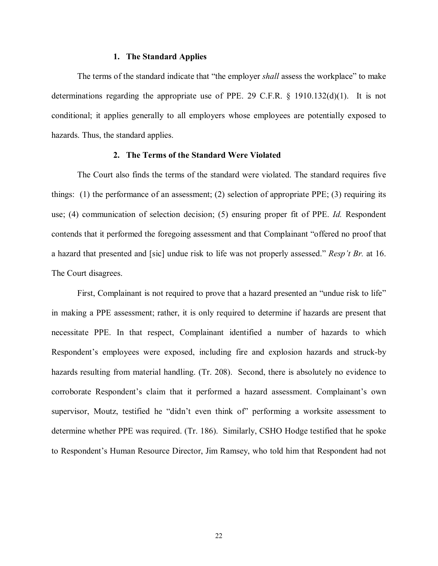### **1. The Standard Applies**

The terms of the standard indicate that "the employer *shall* assess the workplace" to make determinations regarding the appropriate use of PPE. 29 C.F.R.  $\S$  1910.132(d)(1). It is not conditional; it applies generally to all employers whose employees are potentially exposed to hazards. Thus, the standard applies.

### **2. The Terms of the Standard Were Violated**

The Court also finds the terms of the standard were violated. The standard requires five things: (1) the performance of an assessment; (2) selection of appropriate PPE; (3) requiring its use; (4) communication of selection decision; (5) ensuring proper fit of PPE. *Id.* Respondent contends that it performed the foregoing assessment and that Complainant "offered no proof that a hazard that presented and [sic] undue risk to life was not properly assessed." *Resp't Br.* at 16. The Court disagrees.

First, Complainant is not required to prove that a hazard presented an "undue risk to life" in making a PPE assessment; rather, it is only required to determine if hazards are present that necessitate PPE. In that respect, Complainant identified a number of hazards to which Respondent's employees were exposed, including fire and explosion hazards and struck-by hazards resulting from material handling. (Tr. 208). Second, there is absolutely no evidence to corroborate Respondent's claim that it performed a hazard assessment. Complainant's own supervisor, Moutz, testified he "didn't even think of" performing a worksite assessment to determine whether PPE was required. (Tr. 186). Similarly, CSHO Hodge testified that he spoke to Respondent's Human Resource Director, Jim Ramsey, who told him that Respondent had not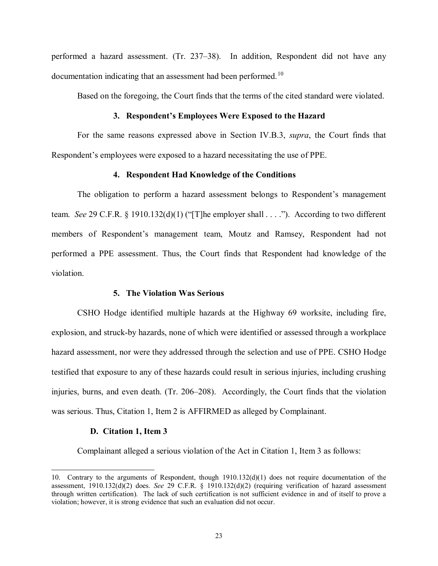performed a hazard assessment. (Tr. 237–38). In addition, Respondent did not have any documentation indicating that an assessment had been performed.<sup>[10](#page-22-0)</sup>

Based on the foregoing, the Court finds that the terms of the cited standard were violated.

## **3. Respondent's Employees Were Exposed to the Hazard**

For the same reasons expressed above in Section IV.B.3, *supra*, the Court finds that Respondent's employees were exposed to a hazard necessitating the use of PPE.

### **4. Respondent Had Knowledge of the Conditions**

The obligation to perform a hazard assessment belongs to Respondent's management team. *See* 29 C.F.R. § 1910.132(d)(1) ("[T]he employer shall . . . ."). According to two different members of Respondent's management team, Moutz and Ramsey, Respondent had not performed a PPE assessment. Thus, the Court finds that Respondent had knowledge of the violation.

### **5. The Violation Was Serious**

CSHO Hodge identified multiple hazards at the Highway 69 worksite, including fire, explosion, and struck-by hazards, none of which were identified or assessed through a workplace hazard assessment, nor were they addressed through the selection and use of PPE. CSHO Hodge testified that exposure to any of these hazards could result in serious injuries, including crushing injuries, burns, and even death. (Tr. 206–208). Accordingly, the Court finds that the violation was serious. Thus, Citation 1, Item 2 is AFFIRMED as alleged by Complainant.

### **D. Citation 1, Item 3**

 $\overline{a}$ 

Complainant alleged a serious violation of the Act in Citation 1, Item 3 as follows:

<span id="page-22-0"></span><sup>10.</sup> Contrary to the arguments of Respondent, though 1910.132(d)(1) does not require documentation of the assessment, 1910.132(d)(2) does. *See* 29 C.F.R. § 1910.132(d)(2) (requiring verification of hazard assessment through written certification). The lack of such certification is not sufficient evidence in and of itself to prove a violation; however, it is strong evidence that such an evaluation did not occur.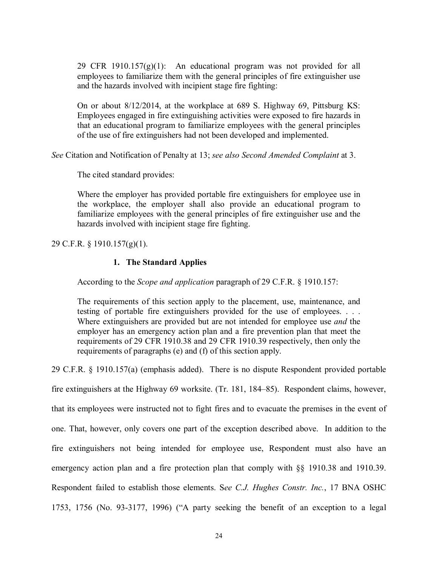29 CFR 1910.157 $(g)(1)$ : An educational program was not provided for all employees to familiarize them with the general principles of fire extinguisher use and the hazards involved with incipient stage fire fighting:

On or about 8/12/2014, at the workplace at 689 S. Highway 69, Pittsburg KS: Employees engaged in fire extinguishing activities were exposed to fire hazards in that an educational program to familiarize employees with the general principles of the use of fire extinguishers had not been developed and implemented.

*See* Citation and Notification of Penalty at 13; *see also Second Amended Complaint* at 3.

The cited standard provides:

Where the employer has provided portable fire extinguishers for employee use in the workplace, the employer shall also provide an educational program to familiarize employees with the general principles of fire extinguisher use and the hazards involved with incipient stage fire fighting.

29 C.F.R. § 1910.157(g)(1).

# **1. The Standard Applies**

According to the *Scope and application* paragraph of 29 C.F.R. § 1910.157:

The requirements of this section apply to the placement, use, maintenance, and testing of portable fire extinguishers provided for the use of employees. . . . Where extinguishers are provided but are not intended for employee use *and* the employer has an emergency action plan and a fire prevention plan that meet the requirements of 29 CFR 1910.38 and 29 CFR 1910.39 respectively, then only the requirements of paragraphs (e) and (f) of this section apply.

29 C.F.R. § 1910.157(a) (emphasis added). There is no dispute Respondent provided portable

fire extinguishers at the Highway 69 worksite. (Tr. 181, 184–85). Respondent claims, however,

that its employees were instructed not to fight fires and to evacuate the premises in the event of

one. That, however, only covers one part of the exception described above. In addition to the

fire extinguishers not being intended for employee use, Respondent must also have an emergency action plan and a fire protection plan that comply with §§ 1910.38 and 1910.39.

Respondent failed to establish those elements. S*ee C.J. Hughes Constr. Inc.*, 17 BNA OSHC

1753, 1756 (No. 93-3177, 1996) ("A party seeking the benefit of an exception to a legal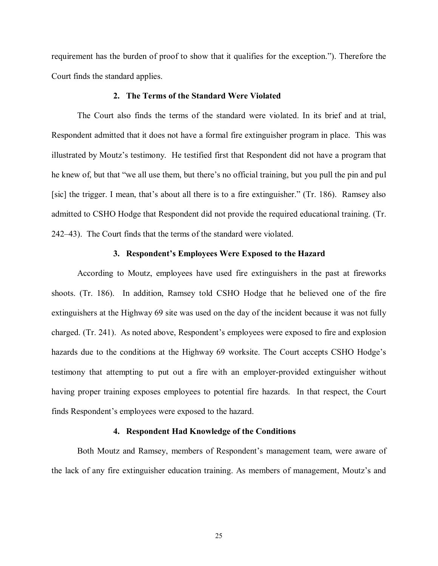requirement has the burden of proof to show that it qualifies for the exception."). Therefore the Court finds the standard applies.

## **2. The Terms of the Standard Were Violated**

The Court also finds the terms of the standard were violated. In its brief and at trial, Respondent admitted that it does not have a formal fire extinguisher program in place. This was illustrated by Moutz's testimony. He testified first that Respondent did not have a program that he knew of, but that "we all use them, but there's no official training, but you pull the pin and pul [sic] the trigger. I mean, that's about all there is to a fire extinguisher." (Tr. 186). Ramsey also admitted to CSHO Hodge that Respondent did not provide the required educational training. (Tr. 242–43). The Court finds that the terms of the standard were violated.

### **3. Respondent's Employees Were Exposed to the Hazard**

According to Moutz, employees have used fire extinguishers in the past at fireworks shoots. (Tr. 186). In addition, Ramsey told CSHO Hodge that he believed one of the fire extinguishers at the Highway 69 site was used on the day of the incident because it was not fully charged. (Tr. 241). As noted above, Respondent's employees were exposed to fire and explosion hazards due to the conditions at the Highway 69 worksite. The Court accepts CSHO Hodge's testimony that attempting to put out a fire with an employer-provided extinguisher without having proper training exposes employees to potential fire hazards. In that respect, the Court finds Respondent's employees were exposed to the hazard.

### **4. Respondent Had Knowledge of the Conditions**

Both Moutz and Ramsey, members of Respondent's management team, were aware of the lack of any fire extinguisher education training. As members of management, Moutz's and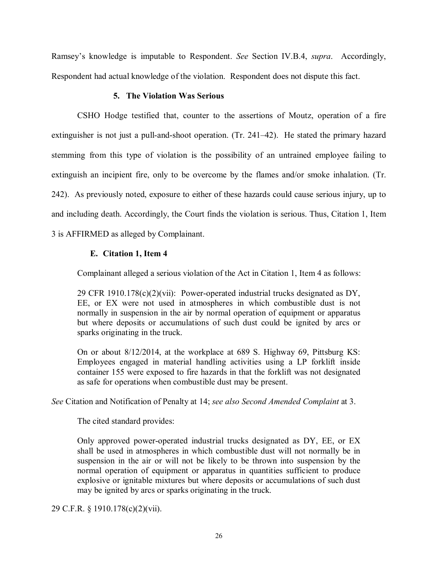Ramsey's knowledge is imputable to Respondent. *See* Section IV.B.4, *supra*. Accordingly, Respondent had actual knowledge of the violation. Respondent does not dispute this fact.

## **5. The Violation Was Serious**

CSHO Hodge testified that, counter to the assertions of Moutz, operation of a fire extinguisher is not just a pull-and-shoot operation. (Tr. 241–42). He stated the primary hazard stemming from this type of violation is the possibility of an untrained employee failing to extinguish an incipient fire, only to be overcome by the flames and/or smoke inhalation. (Tr. 242). As previously noted, exposure to either of these hazards could cause serious injury, up to and including death. Accordingly, the Court finds the violation is serious. Thus, Citation 1, Item 3 is AFFIRMED as alleged by Complainant.

# **E. Citation 1, Item 4**

Complainant alleged a serious violation of the Act in Citation 1, Item 4 as follows:

29 CFR 1910.178(c)(2)(vii): Power-operated industrial trucks designated as DY, EE, or EX were not used in atmospheres in which combustible dust is not normally in suspension in the air by normal operation of equipment or apparatus but where deposits or accumulations of such dust could be ignited by arcs or sparks originating in the truck.

On or about 8/12/2014, at the workplace at 689 S. Highway 69, Pittsburg KS: Employees engaged in material handling activities using a LP forklift inside container 155 were exposed to fire hazards in that the forklift was not designated as safe for operations when combustible dust may be present.

*See* Citation and Notification of Penalty at 14; *see also Second Amended Complaint* at 3.

The cited standard provides:

Only approved power-operated industrial trucks designated as DY, EE, or EX shall be used in atmospheres in which combustible dust will not normally be in suspension in the air or will not be likely to be thrown into suspension by the normal operation of equipment or apparatus in quantities sufficient to produce explosive or ignitable mixtures but where deposits or accumulations of such dust may be ignited by arcs or sparks originating in the truck.

29 C.F.R. § 1910.178(c)(2)(vii).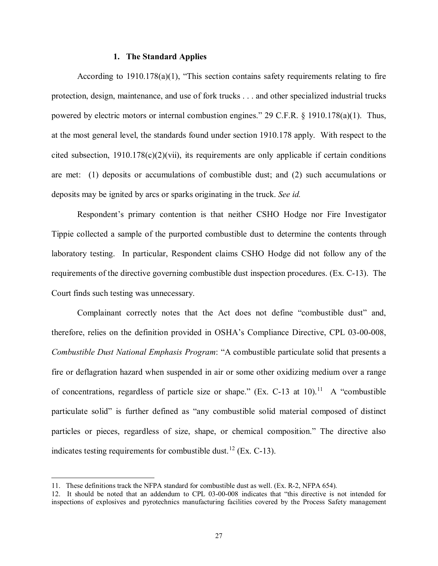## **1. The Standard Applies**

According to 1910.178(a)(1), "This section contains safety requirements relating to fire protection, design, maintenance, and use of fork trucks . . . and other specialized industrial trucks powered by electric motors or internal combustion engines." 29 C.F.R.  $\&$  1910.178(a)(1). Thus, at the most general level, the standards found under section 1910.178 apply. With respect to the cited subsection,  $1910.178(c)(2)(vii)$ , its requirements are only applicable if certain conditions are met: (1) deposits or accumulations of combustible dust; and (2) such accumulations or deposits may be ignited by arcs or sparks originating in the truck. *See id.*

Respondent's primary contention is that neither CSHO Hodge nor Fire Investigator Tippie collected a sample of the purported combustible dust to determine the contents through laboratory testing. In particular, Respondent claims CSHO Hodge did not follow any of the requirements of the directive governing combustible dust inspection procedures. (Ex. C-13). The Court finds such testing was unnecessary.

Complainant correctly notes that the Act does not define "combustible dust" and, therefore, relies on the definition provided in OSHA's Compliance Directive, CPL 03-00-008, *Combustible Dust National Emphasis Program*: "A combustible particulate solid that presents a fire or deflagration hazard when suspended in air or some other oxidizing medium over a range of concentrations, regardless of particle size or shape." (Ex. C-13 at 10).<sup>11</sup> A "combustible" particulate solid" is further defined as "any combustible solid material composed of distinct particles or pieces, regardless of size, shape, or chemical composition." The directive also indicates testing requirements for combustible dust.<sup>[12](#page-26-1)</sup> (Ex. C-13).

<span id="page-26-0"></span><sup>11.</sup> These definitions track the NFPA standard for combustible dust as well. (Ex. R-2, NFPA 654).

<span id="page-26-1"></span><sup>12.</sup> It should be noted that an addendum to CPL 03-00-008 indicates that "this directive is not intended for inspections of explosives and pyrotechnics manufacturing facilities covered by the Process Safety management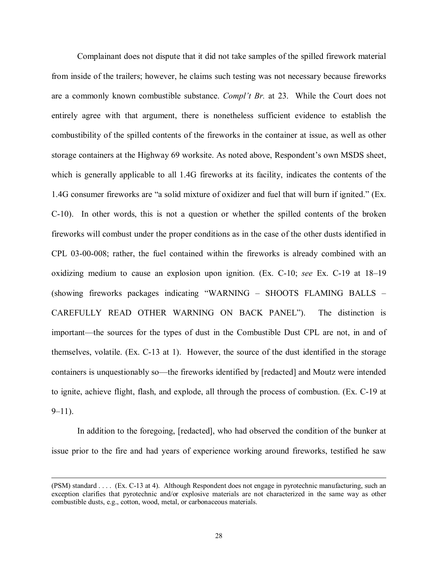Complainant does not dispute that it did not take samples of the spilled firework material from inside of the trailers; however, he claims such testing was not necessary because fireworks are a commonly known combustible substance. *Compl't Br.* at 23. While the Court does not entirely agree with that argument, there is nonetheless sufficient evidence to establish the combustibility of the spilled contents of the fireworks in the container at issue, as well as other storage containers at the Highway 69 worksite. As noted above, Respondent's own MSDS sheet, which is generally applicable to all 1.4G fireworks at its facility, indicates the contents of the 1.4G consumer fireworks are "a solid mixture of oxidizer and fuel that will burn if ignited." (Ex. C-10). In other words, this is not a question or whether the spilled contents of the broken fireworks will combust under the proper conditions as in the case of the other dusts identified in CPL 03-00-008; rather, the fuel contained within the fireworks is already combined with an oxidizing medium to cause an explosion upon ignition. (Ex. C-10; *see* Ex. C-19 at 18–19 (showing fireworks packages indicating "WARNING – SHOOTS FLAMING BALLS – CAREFULLY READ OTHER WARNING ON BACK PANEL"). The distinction is important—the sources for the types of dust in the Combustible Dust CPL are not, in and of themselves, volatile. (Ex. C-13 at 1). However, the source of the dust identified in the storage containers is unquestionably so—the fireworks identified by [redacted] and Moutz were intended to ignite, achieve flight, flash, and explode, all through the process of combustion. (Ex. C-19 at  $9-11$ ).

In addition to the foregoing, [redacted], who had observed the condition of the bunker at issue prior to the fire and had years of experience working around fireworks, testified he saw

<sup>(</sup>PSM) standard . . . . (Ex. C-13 at 4). Although Respondent does not engage in pyrotechnic manufacturing, such an exception clarifies that pyrotechnic and/or explosive materials are not characterized in the same way as other combustible dusts, e.g., cotton, wood, metal, or carbonaceous materials.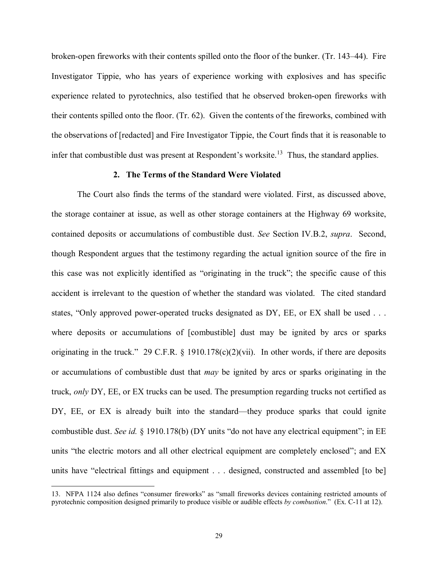broken-open fireworks with their contents spilled onto the floor of the bunker. (Tr. 143–44). Fire Investigator Tippie, who has years of experience working with explosives and has specific experience related to pyrotechnics, also testified that he observed broken-open fireworks with their contents spilled onto the floor. (Tr. 62). Given the contents of the fireworks, combined with the observations of [redacted] and Fire Investigator Tippie, the Court finds that it is reasonable to infer that combustible dust was present at Respondent's worksite.<sup>13</sup> Thus, the standard applies.

#### **2. The Terms of the Standard Were Violated**

The Court also finds the terms of the standard were violated. First, as discussed above, the storage container at issue, as well as other storage containers at the Highway 69 worksite, contained deposits or accumulations of combustible dust. *See* Section IV.B.2, *supra*. Second, though Respondent argues that the testimony regarding the actual ignition source of the fire in this case was not explicitly identified as "originating in the truck"; the specific cause of this accident is irrelevant to the question of whether the standard was violated. The cited standard states, "Only approved power-operated trucks designated as DY, EE, or EX shall be used . . . where deposits or accumulations of [combustible] dust may be ignited by arcs or sparks originating in the truck." 29 C.F.R. § 1910.178(c)(2)(vii). In other words, if there are deposits or accumulations of combustible dust that *may* be ignited by arcs or sparks originating in the truck, *only* DY, EE, or EX trucks can be used. The presumption regarding trucks not certified as DY, EE, or EX is already built into the standard—they produce sparks that could ignite combustible dust. *See id.* § 1910.178(b) (DY units "do not have any electrical equipment"; in EE units "the electric motors and all other electrical equipment are completely enclosed"; and EX units have "electrical fittings and equipment . . . designed, constructed and assembled [to be]

<span id="page-28-0"></span><sup>13.</sup> NFPA 1124 also defines "consumer fireworks" as "small fireworks devices containing restricted amounts of pyrotechnic composition designed primarily to produce visible or audible effects *by combustion*." (Ex. C-11 at 12).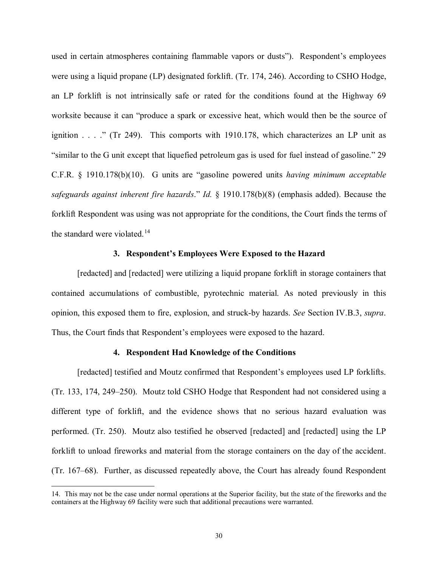used in certain atmospheres containing flammable vapors or dusts"). Respondent's employees were using a liquid propane (LP) designated forklift. (Tr. 174, 246). According to CSHO Hodge, an LP forklift is not intrinsically safe or rated for the conditions found at the Highway 69 worksite because it can "produce a spark or excessive heat, which would then be the source of ignition . . . ." (Tr 249). This comports with 1910.178, which characterizes an LP unit as "similar to the G unit except that liquefied petroleum gas is used for fuel instead of gasoline." 29 C.F.R. § 1910.178(b)(10). G units are "gasoline powered units *having minimum acceptable safeguards against inherent fire hazards*." *Id.* § 1910.178(b)(8) (emphasis added). Because the forklift Respondent was using was not appropriate for the conditions, the Court finds the terms of the standard were violated.<sup>[14](#page-29-0)</sup>

# **3. Respondent's Employees Were Exposed to the Hazard**

[redacted] and [redacted] were utilizing a liquid propane forklift in storage containers that contained accumulations of combustible, pyrotechnic material. As noted previously in this opinion, this exposed them to fire, explosion, and struck-by hazards. *See* Section IV.B.3, *supra*. Thus, the Court finds that Respondent's employees were exposed to the hazard.

### **4. Respondent Had Knowledge of the Conditions**

[redacted] testified and Moutz confirmed that Respondent's employees used LP forklifts. (Tr. 133, 174, 249–250). Moutz told CSHO Hodge that Respondent had not considered using a different type of forklift, and the evidence shows that no serious hazard evaluation was performed. (Tr. 250). Moutz also testified he observed [redacted] and [redacted] using the LP forklift to unload fireworks and material from the storage containers on the day of the accident. (Tr. 167–68). Further, as discussed repeatedly above, the Court has already found Respondent

<span id="page-29-0"></span><sup>14.</sup> This may not be the case under normal operations at the Superior facility, but the state of the fireworks and the containers at the Highway 69 facility were such that additional precautions were warranted.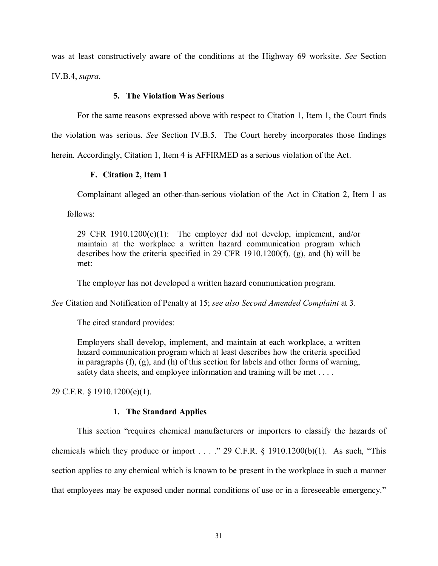was at least constructively aware of the conditions at the Highway 69 worksite. *See* Section IV.B.4, *supra*.

## **5. The Violation Was Serious**

For the same reasons expressed above with respect to Citation 1, Item 1, the Court finds the violation was serious. *See* Section IV.B.5. The Court hereby incorporates those findings herein. Accordingly, Citation 1, Item 4 is AFFIRMED as a serious violation of the Act.

# **F. Citation 2, Item 1**

Complainant alleged an other-than-serious violation of the Act in Citation 2, Item 1 as

follows:

29 CFR 1910.1200(e)(1): The employer did not develop, implement, and/or maintain at the workplace a written hazard communication program which describes how the criteria specified in 29 CFR 1910.1200(f), (g), and (h) will be met:

The employer has not developed a written hazard communication program.

*See* Citation and Notification of Penalty at 15; *see also Second Amended Complaint* at 3.

The cited standard provides:

Employers shall develop, implement, and maintain at each workplace, a written hazard communication program which at least describes how the criteria specified in paragraphs (f), (g), and (h) of this section for labels and other forms of warning, safety data sheets, and employee information and training will be met . . . .

29 C.F.R. § 1910.1200(e)(1).

## **1. The Standard Applies**

This section "requires chemical manufacturers or importers to classify the hazards of chemicals which they produce or import . . . . " 29 C.F.R.  $\S$  1910.1200(b)(1). As such, "This section applies to any chemical which is known to be present in the workplace in such a manner that employees may be exposed under normal conditions of use or in a foreseeable emergency."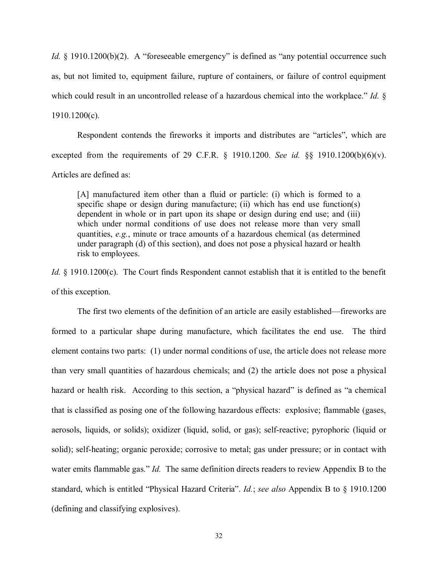*Id.* § 1910.1200(b)(2). A "foreseeable emergency" is defined as "any potential occurrence such as, but not limited to, equipment failure, rupture of containers, or failure of control equipment which could result in an uncontrolled release of a hazardous chemical into the workplace." *Id.* § 1910.1200(c).

Respondent contends the fireworks it imports and distributes are "articles", which are excepted from the requirements of 29 C.F.R. § 1910.1200. *See id.* §§ 1910.1200(b)(6)(v). Articles are defined as:

[A] manufactured item other than a fluid or particle: (i) which is formed to a specific shape or design during manufacture; (ii) which has end use function(s) dependent in whole or in part upon its shape or design during end use; and (iii) which under normal conditions of use does not release more than very small quantities, *e.g.*, minute or trace amounts of a hazardous chemical (as determined under paragraph (d) of this section), and does not pose a physical hazard or health risk to employees.

*Id.* § 1910.1200(c). The Court finds Respondent cannot establish that it is entitled to the benefit of this exception.

The first two elements of the definition of an article are easily established—fireworks are formed to a particular shape during manufacture, which facilitates the end use. The third element contains two parts: (1) under normal conditions of use, the article does not release more than very small quantities of hazardous chemicals; and (2) the article does not pose a physical hazard or health risk. According to this section, a "physical hazard" is defined as "a chemical that is classified as posing one of the following hazardous effects: explosive; flammable (gases, aerosols, liquids, or solids); oxidizer (liquid, solid, or gas); self-reactive; pyrophoric (liquid or solid); self-heating; organic peroxide; corrosive to metal; gas under pressure; or in contact with water emits flammable gas." *Id.* The same definition directs readers to review Appendix B to the standard, which is entitled "Physical Hazard Criteria". *Id.*; *see also* Appendix B to § 1910.1200 (defining and classifying explosives).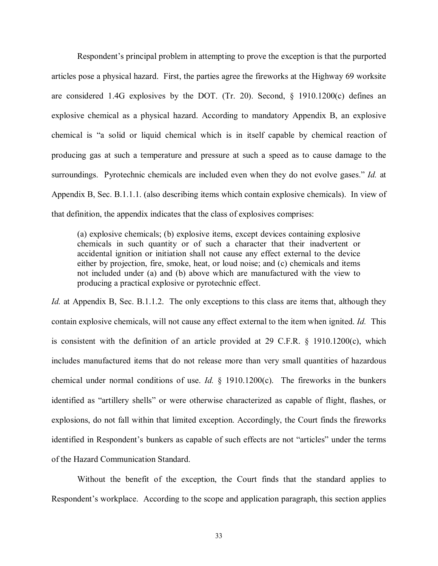Respondent's principal problem in attempting to prove the exception is that the purported articles pose a physical hazard. First, the parties agree the fireworks at the Highway 69 worksite are considered 1.4G explosives by the DOT. (Tr. 20). Second, § 1910.1200(c) defines an explosive chemical as a physical hazard. According to mandatory Appendix B, an explosive chemical is "a solid or liquid chemical which is in itself capable by chemical reaction of producing gas at such a temperature and pressure at such a speed as to cause damage to the surroundings. Pyrotechnic chemicals are included even when they do not evolve gases." *Id.* at Appendix B, Sec. B.1.1.1. (also describing items which contain explosive chemicals). In view of that definition, the appendix indicates that the class of explosives comprises:

(a) explosive chemicals; (b) explosive items, except devices containing explosive chemicals in such quantity or of such a character that their inadvertent or accidental ignition or initiation shall not cause any effect external to the device either by projection, fire, smoke, heat, or loud noise; and (c) chemicals and items not included under (a) and (b) above which are manufactured with the view to producing a practical explosive or pyrotechnic effect.

*Id.* at Appendix B, Sec. B.1.1.2. The only exceptions to this class are items that, although they contain explosive chemicals, will not cause any effect external to the item when ignited. *Id.* This is consistent with the definition of an article provided at 29 C.F.R. § 1910.1200(c), which includes manufactured items that do not release more than very small quantities of hazardous chemical under normal conditions of use. *Id.* § 1910.1200(c). The fireworks in the bunkers identified as "artillery shells" or were otherwise characterized as capable of flight, flashes, or explosions, do not fall within that limited exception. Accordingly, the Court finds the fireworks identified in Respondent's bunkers as capable of such effects are not "articles" under the terms of the Hazard Communication Standard.

Without the benefit of the exception, the Court finds that the standard applies to Respondent's workplace. According to the scope and application paragraph, this section applies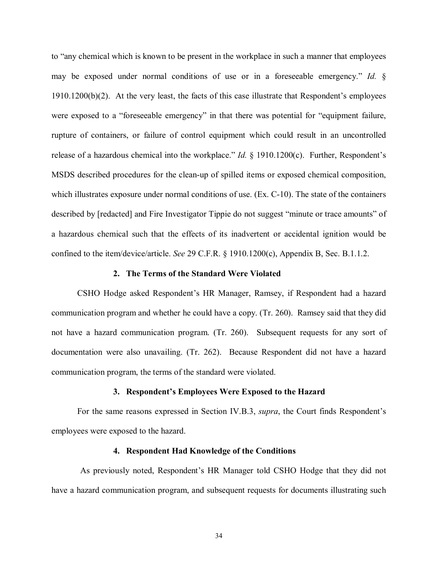to "any chemical which is known to be present in the workplace in such a manner that employees may be exposed under normal conditions of use or in a foreseeable emergency." *Id.* § 1910.1200(b)(2). At the very least, the facts of this case illustrate that Respondent's employees were exposed to a "foreseeable emergency" in that there was potential for "equipment failure, rupture of containers, or failure of control equipment which could result in an uncontrolled release of a hazardous chemical into the workplace." *Id.* § 1910.1200(c). Further, Respondent's MSDS described procedures for the clean-up of spilled items or exposed chemical composition, which illustrates exposure under normal conditions of use. (Ex. C-10). The state of the containers described by [redacted] and Fire Investigator Tippie do not suggest "minute or trace amounts" of a hazardous chemical such that the effects of its inadvertent or accidental ignition would be confined to the item/device/article. *See* 29 C.F.R. § 1910.1200(c), Appendix B, Sec. B.1.1.2.

### **2. The Terms of the Standard Were Violated**

CSHO Hodge asked Respondent's HR Manager, Ramsey, if Respondent had a hazard communication program and whether he could have a copy. (Tr. 260). Ramsey said that they did not have a hazard communication program. (Tr. 260). Subsequent requests for any sort of documentation were also unavailing. (Tr. 262). Because Respondent did not have a hazard communication program, the terms of the standard were violated.

### **3. Respondent's Employees Were Exposed to the Hazard**

For the same reasons expressed in Section IV.B.3, *supra*, the Court finds Respondent's employees were exposed to the hazard.

### **4. Respondent Had Knowledge of the Conditions**

As previously noted, Respondent's HR Manager told CSHO Hodge that they did not have a hazard communication program, and subsequent requests for documents illustrating such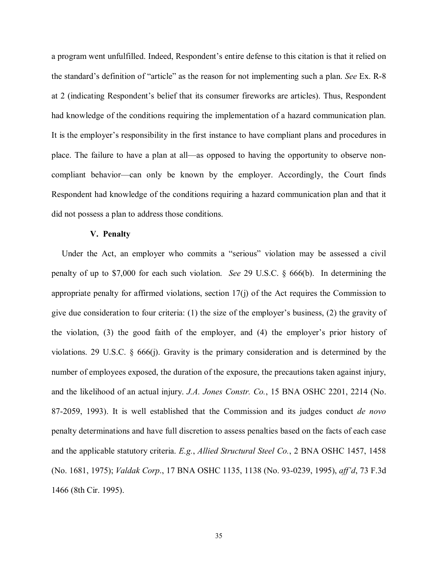a program went unfulfilled. Indeed, Respondent's entire defense to this citation is that it relied on the standard's definition of "article" as the reason for not implementing such a plan. *See* Ex. R-8 at 2 (indicating Respondent's belief that its consumer fireworks are articles). Thus, Respondent had knowledge of the conditions requiring the implementation of a hazard communication plan. It is the employer's responsibility in the first instance to have compliant plans and procedures in place. The failure to have a plan at all—as opposed to having the opportunity to observe noncompliant behavior—can only be known by the employer. Accordingly, the Court finds Respondent had knowledge of the conditions requiring a hazard communication plan and that it did not possess a plan to address those conditions.

### **V. Penalty**

Under the Act, an employer who commits a "serious" violation may be assessed a civil penalty of up to \$7,000 for each such violation. *See* 29 U.S.C. § 666(b). In determining the appropriate penalty for affirmed violations, section 17(j) of the Act requires the Commission to give due consideration to four criteria: (1) the size of the employer's business, (2) the gravity of the violation, (3) the good faith of the employer, and (4) the employer's prior history of violations. 29 U.S.C. § 666(j). Gravity is the primary consideration and is determined by the number of employees exposed, the duration of the exposure, the precautions taken against injury, and the likelihood of an actual injury. *J.A. Jones Constr. Co.*, 15 BNA OSHC 2201, 2214 (No. 87-2059, 1993). It is well established that the Commission and its judges conduct *de novo*  penalty determinations and have full discretion to assess penalties based on the facts of each case and the applicable statutory criteria. *E.g.*, *Allied Structural Steel Co.*, 2 BNA OSHC 1457, 1458 (No. 1681, 1975); *Valdak Corp*., 17 BNA OSHC 1135, 1138 (No. 93-0239, 1995), *aff'd*, 73 F.3d 1466 (8th Cir. 1995).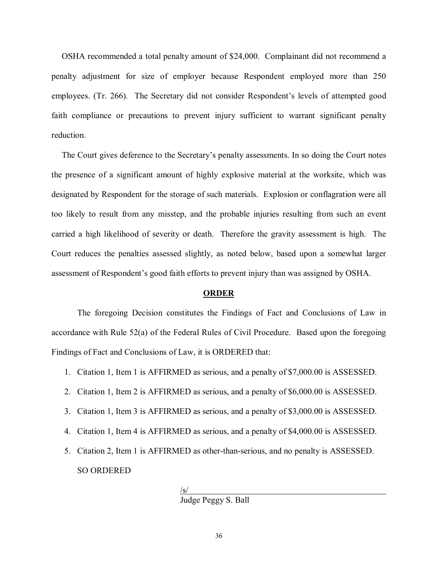OSHA recommended a total penalty amount of \$24,000. Complainant did not recommend a penalty adjustment for size of employer because Respondent employed more than 250 employees. (Tr. 266). The Secretary did not consider Respondent's levels of attempted good faith compliance or precautions to prevent injury sufficient to warrant significant penalty reduction.

The Court gives deference to the Secretary's penalty assessments. In so doing the Court notes the presence of a significant amount of highly explosive material at the worksite, which was designated by Respondent for the storage of such materials. Explosion or conflagration were all too likely to result from any misstep, and the probable injuries resulting from such an event carried a high likelihood of severity or death. Therefore the gravity assessment is high. The Court reduces the penalties assessed slightly, as noted below, based upon a somewhat larger assessment of Respondent's good faith efforts to prevent injury than was assigned by OSHA.

#### **ORDER**

The foregoing Decision constitutes the Findings of Fact and Conclusions of Law in accordance with Rule 52(a) of the Federal Rules of Civil Procedure. Based upon the foregoing Findings of Fact and Conclusions of Law, it is ORDERED that:

- 1. Citation 1, Item 1 is AFFIRMED as serious, and a penalty of \$7,000.00 is ASSESSED.
- 2. Citation 1, Item 2 is AFFIRMED as serious, and a penalty of \$6,000.00 is ASSESSED.
- 3. Citation 1, Item 3 is AFFIRMED as serious, and a penalty of \$3,000.00 is ASSESSED.
- 4. Citation 1, Item 4 is AFFIRMED as serious, and a penalty of \$4,000.00 is ASSESSED.
- 5. Citation 2, Item 1 is AFFIRMED as other-than-serious, and no penalty is ASSESSED. SO ORDERED

 $\sqrt{s}$ /

Judge Peggy S. Ball